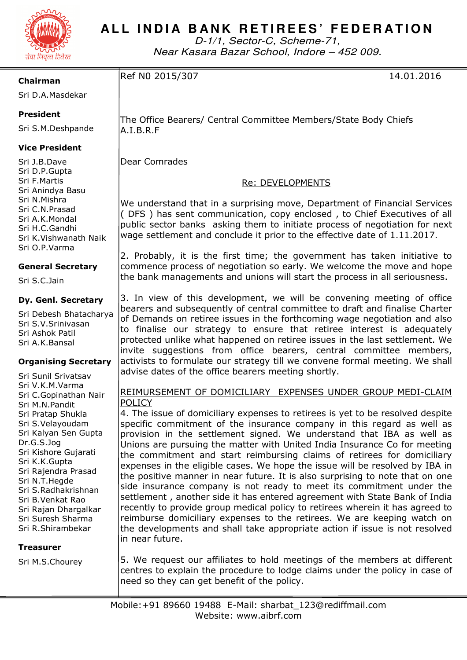

# ALL INDIA BANK RETIREES' FEDERATION

D-1/1, Sector-C, Scheme-71, Near Kasara Bazar School, Indore – 452 009.

**Chairman** 

Ref N0 2015/307 14.01.2016

Sri D.A.Masdekar

# **President**

Sri S.M.Deshpande

# **Vice President**

Sri J.B.Dave Sri D.P.Gupta Sri F.Martis Sri Anindya Basu Sri N.Mishra Sri C.N.Prasad Sri A.K.Mondal Sri H.C.Gandhi Sri K.Vishwanath Naik Sri O.P.Varma

### **General Secretary**

Sri S.C.Jain

### **Dy. Genl. Secretary**

Sri Debesh Bhatacharya Sri S.V.Srinivasan Sri Ashok Patil Sri A.K.Bansal

### **Organising Secretary**

Sri Sunil Srivatsav Sri V.K.M.Varma Sri C.Gopinathan Nair Sri M.N.Pandit Sri Pratap Shukla Sri S.Velayoudam Sri Kalyan Sen Gupta Dr.G.S.Jog Sri Kishore Gujarati Sri K.K.Gupta Sri Rajendra Prasad Sri N.T.Hegde Sri S.Radhakrishnan Sri B.Venkat Rao Sri Rajan Dhargalkar Sri Suresh Sharma Sri R.Shirambekar

### **Treasurer**

Sri M.S.Chourey

The Office Bearers/ Central Committee Members/State Body Chiefs A.I.B.R.F

Dear Comrades

# Re: DEVELOPMENTS

We understand that in a surprising move, Department of Financial Services ( DFS ) has sent communication, copy enclosed , to Chief Executives of all public sector banks asking them to initiate process of negotiation for next wage settlement and conclude it prior to the effective date of 1.11.2017.

2. Probably, it is the first time; the government has taken initiative to commence process of negotiation so early. We welcome the move and hope the bank managements and unions will start the process in all seriousness.

3. In view of this development, we will be convening meeting of office bearers and subsequently of central committee to draft and finalise Charter of Demands on retiree issues in the forthcoming wage negotiation and also to finalise our strategy to ensure that retiree interest is adequately protected unlike what happened on retiree issues in the last settlement. We invite suggestions from office bearers, central committee members, activists to formulate our strategy till we convene formal meeting. We shall advise dates of the office bearers meeting shortly.

# REIMURSEMENT OF DOMICILIARY EXPENSES UNDER GROUP MEDI-CLAIM POLICY

4. The issue of domiciliary expenses to retirees is yet to be resolved despite specific commitment of the insurance company in this regard as well as provision in the settlement signed. We understand that IBA as well as Unions are pursuing the matter with United India Insurance Co for meeting the commitment and start reimbursing claims of retirees for domiciliary expenses in the eligible cases. We hope the issue will be resolved by IBA in the positive manner in near future. It is also surprising to note that on one side insurance company is not ready to meet its commitment under the settlement , another side it has entered agreement with State Bank of India recently to provide group medical policy to retirees wherein it has agreed to reimburse domiciliary expenses to the retirees. We are keeping watch on the developments and shall take appropriate action if issue is not resolved in near future.

5. We request our affiliates to hold meetings of the members at different centres to explain the procedure to lodge claims under the policy in case of need so they can get benefit of the policy.